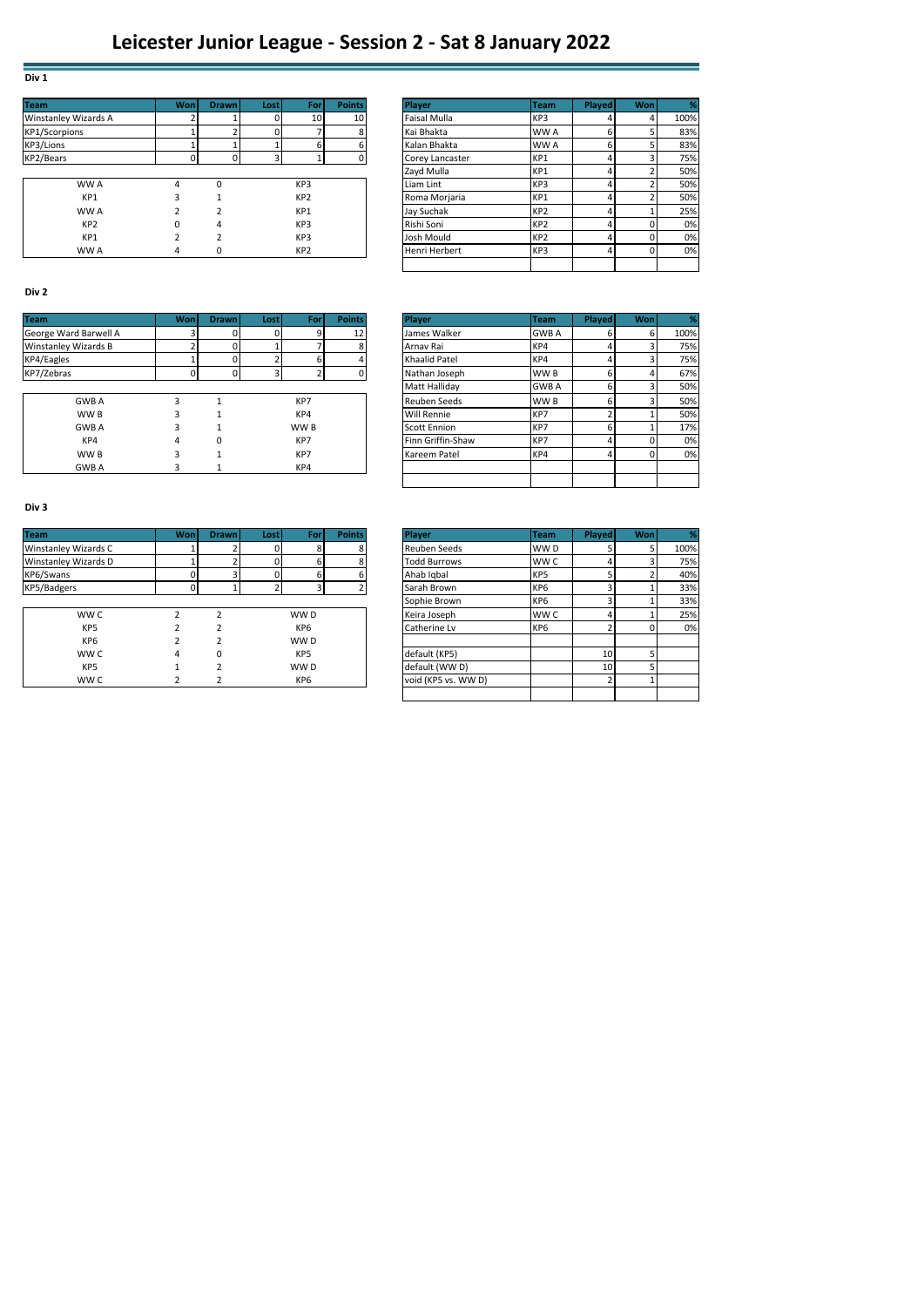| <b>Team</b>                 | Won | <b>Drawn</b> | <b>Lost</b> | For             | <b>Points</b>   | <b>Player</b>       | <b>Team</b>     | <b>Played</b> | Wonl | %    |
|-----------------------------|-----|--------------|-------------|-----------------|-----------------|---------------------|-----------------|---------------|------|------|
| <b>Winstanley Wizards A</b> |     |              |             | 10              | 10 <sup>1</sup> | <b>Faisal Mulla</b> | KP3             |               |      | 100% |
| <b>KP1/Scorpions</b>        |     |              | 0           |                 |                 | Kai Bhakta          | WW A            |               |      | 83%  |
| KP3/Lions                   |     |              |             |                 |                 | Kalan Bhakta        | WW A            |               |      | 83%  |
| KP2/Bears                   |     |              | 3           |                 | $\Omega$        | Corey Lancaster     | KP1             |               | 3    | 75%  |
|                             |     |              |             |                 |                 | Zayd Mulla          | KP1             |               |      | 50%  |
| WW A                        | 4   | $\Omega$     |             | KP3             |                 | Liam Lint           | KP3             |               |      | 50%  |
| KP1                         |     |              |             | KP <sub>2</sub> |                 | Roma Morjaria       | KP1             |               |      | 50%  |
| WW A                        |     |              |             | KP1             |                 | Jay Suchak          | KP <sub>2</sub> |               |      | 25%  |
| KP <sub>2</sub>             | 0   | 4            |             | KP3             |                 | Rishi Soni          | KP <sub>2</sub> |               | 0    | 0%   |
| KP1                         |     |              |             | KP3             |                 | Josh Mould          | KP <sub>2</sub> |               | 0    | 0%   |
| WW A                        | 4   |              |             | KP <sub>2</sub> |                 | Henri Herbert       | KP3             |               | 0    | 0%   |

|                 | Won | <b>Drawn</b> | Lost I | Forl            | <b>Points</b>   | <b>Plaver</b>       | Team            | <b>Played</b> | Wonl |      |
|-----------------|-----|--------------|--------|-----------------|-----------------|---------------------|-----------------|---------------|------|------|
| Vizards A       |     |              |        | 10 <sub>1</sub> | 10 <sup>1</sup> | <b>Faisal Mulla</b> | KP3             |               |      | 100% |
| าร              |     |              |        |                 |                 | Kai Bhakta          | WW A            |               |      | 83%  |
|                 |     |              |        |                 |                 | Kalan Bhakta        | WW A            |               |      | 83%  |
|                 |     | C            |        |                 |                 | Corey Lancaster     | KP1             |               |      | 75%  |
|                 |     |              |        |                 |                 | Zayd Mulla          | KP1             |               |      | 50%  |
| WW A            | 4   | O            |        | KP <sub>3</sub> |                 | Liam Lint           | KP3             |               |      | 50%  |
| KP1             |     |              |        | KP <sub>2</sub> |                 | Roma Morjaria       | KP1             |               |      | 50%  |
| WW A            |     |              |        | KP1             |                 | Jay Suchak          | KP <sub>2</sub> |               |      | 25%  |
| KP <sub>2</sub> |     | 4            |        | KP3             |                 | Rishi Soni          | KP <sub>2</sub> |               |      | 0%   |
| KP1             |     |              |        | KP3             |                 | Josh Mould          | KP <sub>2</sub> |               |      | 0%   |
| WW A            | 4   | 0            |        | KP <sub>2</sub> |                 | Henri Herbert       | KP3             |               |      | 0%   |
|                 |     |              |        |                 |                 |                     |                 |               |      |      |

### **Div 2**

**Div 1**

| <b>Team</b>           | Wonl | <b>Drawn</b> | Lost | For  | <b>Points</b> | <b>Player</b>        | <b>Team</b>  | <b>Played</b> | Wonl     | ℀    |
|-----------------------|------|--------------|------|------|---------------|----------------------|--------------|---------------|----------|------|
| George Ward Barwell A |      |              |      |      | 12            | James Walker         | <b>GWB A</b> |               | 6        | 100% |
| Winstanley Wizards B  |      |              |      |      |               | Arnav Rai            | KP4          |               |          | 75%  |
| KP4/Eagles            |      |              |      |      |               | <b>Khaalid Patel</b> | KP4          |               |          | 75%  |
| KP7/Zebras            |      |              |      |      |               | Nathan Joseph        | WW B         |               |          | 67%  |
|                       |      |              |      |      |               | Matt Halliday        | <b>GWB A</b> |               |          | 50%  |
| <b>GWB A</b>          |      |              |      | KP7  |               | Reuben Seeds         | WW B         |               |          | 50%  |
| WW B                  |      |              |      | KP4  |               | <b>Will Rennie</b>   | KP7          |               |          | 50%  |
| <b>GWB A</b>          |      |              |      | WW B |               | <b>Scott Ennion</b>  | KP7          |               |          | 17%  |
| KP4                   | 4    | 0            |      | KP7  |               | Finn Griffin-Shaw    | KP7          |               |          | 0%   |
| WW B                  |      |              |      | KP7  |               | Kareem Patel         | KP4          |               | $\Omega$ | 0%   |
| <b>GWB A</b>          |      |              |      | KP4  |               |                      |              |               |          |      |

|              | <b>Won</b> | <b>Drawn</b> | Lost | For             | <b>Points</b> | Player              | <b>Team</b>     | Played | Wonl | %    |
|--------------|------------|--------------|------|-----------------|---------------|---------------------|-----------------|--------|------|------|
| d Barwell A  |            |              |      | q               | 12            | James Walker        | <b>GWB A</b>    | b      |      | 100% |
| Nizards B    |            |              |      |                 | 8             | Arnav Rai           | KP4             |        |      | 75%  |
|              |            |              |      | h               |               | Khaalid Patel       | KP4             |        |      | 75%  |
|              | $\Omega$   | U            | 3    |                 | $\Omega$      | Nathan Joseph       | WW <sub>B</sub> | 6      |      | 67%  |
|              |            |              |      |                 |               | Matt Halliday       | <b>GWB A</b>    | 6      |      | 50%  |
| GWB A        | 3          |              |      | KP7             |               | Reuben Seeds        | WW <sub>B</sub> | 6      |      | 50%  |
| WW B         | ς          |              |      | KP4             |               | <b>Will Rennie</b>  | KP7             |        |      | 50%  |
| <b>GWB A</b> | 3          |              |      | WW <sub>B</sub> |               | <b>Scott Ennion</b> | KP7             | 6      |      | 17%  |
| KP4          | 4          | 0            |      | KP7             |               | Finn Griffin-Shaw   | KP7             |        |      | 0%   |
| WW B         | 3          |              |      | KP7             |               | Kareem Patel        | KP4             |        |      | 0%   |
| GWB A        | 3          |              |      | KP4             |               |                     |                 |        |      |      |
|              |            |              |      |                 |               |                     |                 |        |      |      |

## **Div 3**

| <b>Team</b>          | Wonl | <b>Drawn</b> | <b>Lost</b> | For             | <b>Points</b> | Player              | <b>Team</b>     | Played | Wonl |      |
|----------------------|------|--------------|-------------|-----------------|---------------|---------------------|-----------------|--------|------|------|
| Winstanley Wizards C |      |              |             |                 | $\sim$        | Reuben Seeds        | WW D            |        |      | 100% |
| Winstanley Wizards D |      |              |             |                 | 8             | <b>Todd Burrows</b> | WW C            |        |      | 75%  |
| KP6/Swans            |      |              |             |                 |               | Ahab Igbal          | KP <sub>5</sub> |        |      | 40%  |
| KP5/Badgers          |      |              |             |                 |               | Sarah Brown         | KP <sub>6</sub> |        |      | 33%  |
|                      |      |              |             |                 |               | Sophie Brown        | KP <sub>6</sub> |        |      | 33%  |
| WW C                 |      |              |             | WW D            |               | Keira Joseph        | <b>WWC</b>      |        |      | 25%  |
| KP <sub>5</sub>      |      |              |             | KP <sub>6</sub> |               | Catherine Lv        | KP <sub>6</sub> |        |      | 0%   |
| KP <sub>6</sub>      |      |              |             | WW D            |               |                     |                 |        |      |      |
| WW C                 | 4    |              |             | KP <sub>5</sub> |               | default (KP5)       |                 | 10     |      |      |
|                      |      |              |             |                 |               |                     |                 |        |      |      |

|                 | Won | <b>Drawn</b>  | Lost     | For             | <b>Points</b> | Player              | <b>Team</b>     | <b>Played</b> | Wonl |      |
|-----------------|-----|---------------|----------|-----------------|---------------|---------------------|-----------------|---------------|------|------|
| Vizards C       |     |               |          | 8               |               | Reuben Seeds        | WW D            |               |      | 100% |
| Vizards D       |     |               |          |                 |               | <b>Todd Burrows</b> | WW C            |               |      | 75%  |
|                 |     |               | $\Omega$ | 6               | 6.            | Ahab Igbal          | KP <sub>5</sub> |               |      | 40%  |
|                 |     |               |          |                 |               | Sarah Brown         | KP <sub>6</sub> |               |      | 33%  |
|                 |     |               |          |                 |               | Sophie Brown        | KP <sub>6</sub> |               |      | 33%  |
| WW C            |     | $\mathfrak z$ |          | WW <sub>D</sub> |               | Keira Joseph        | WW C            |               |      | 25%  |
| KP5             |     | $\mathfrak z$ |          | KP <sub>6</sub> |               | Catherine Lv        | KP <sub>6</sub> |               |      | 0%   |
| KP <sub>6</sub> |     | 2             |          | WW D            |               |                     |                 |               |      |      |
| ww c            | 4   | $\Omega$      |          | KP <sub>5</sub> |               | default (KP5)       |                 | 10            |      |      |
| KP5             |     | C             |          | WW <sub>D</sub> |               | default (WW D)      |                 | 10            |      |      |
| WW C            |     |               |          | KP <sub>6</sub> |               | void (KP5 vs. WWD)  |                 |               |      |      |
|                 |     |               |          |                 |               |                     |                 |               |      |      |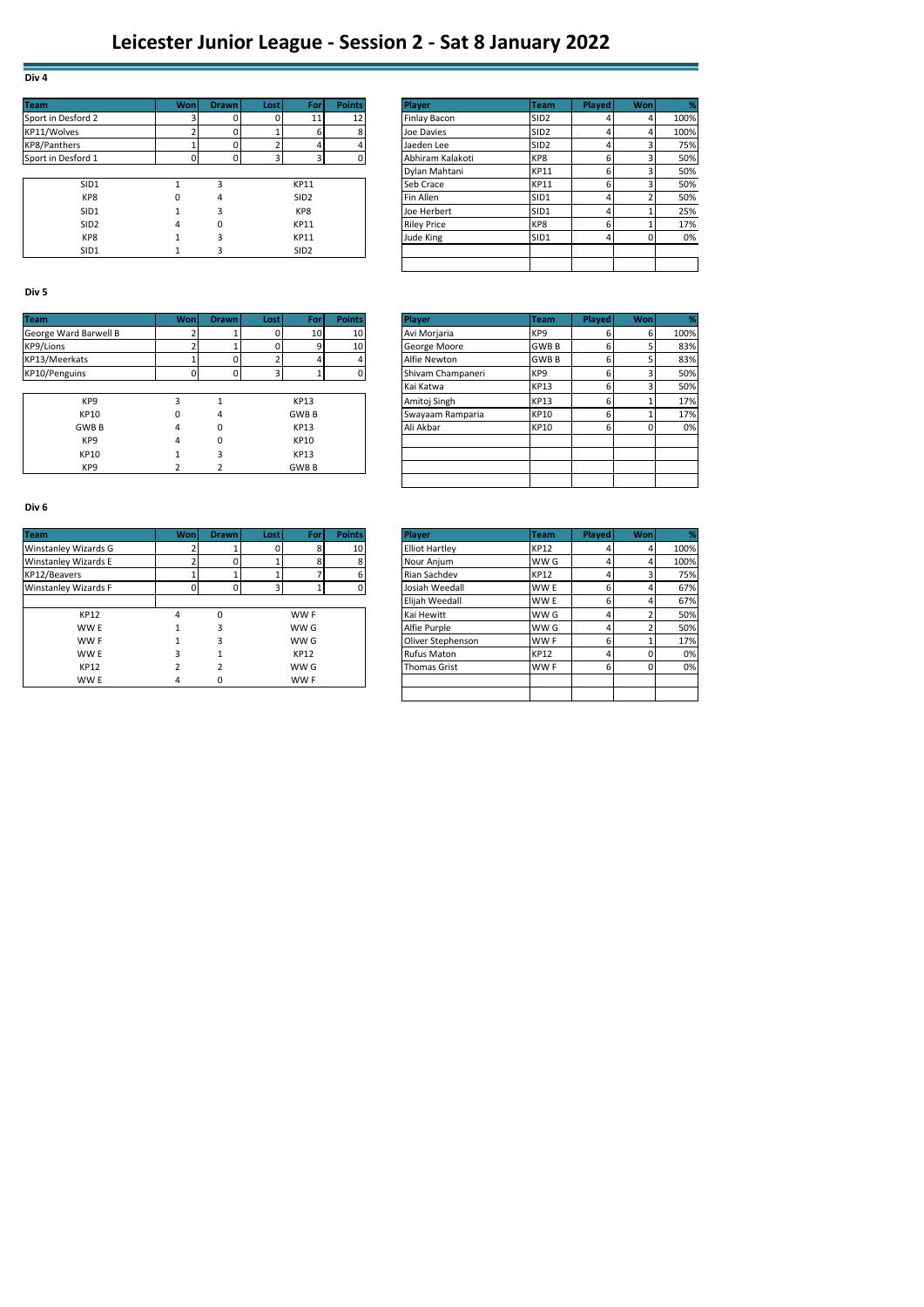# **Leicester Junior League - Session 2 - Sat 8 January 2022**

| <b>Team</b>         | <b>Won</b> | <b>Drawn</b> | <b>Lost</b> | For              | <b>Points</b>   | Player             | <b>Team</b>      | Played | Won | %    |
|---------------------|------------|--------------|-------------|------------------|-----------------|--------------------|------------------|--------|-----|------|
| Sport in Desford 2  |            |              |             | 11               | 12 <sub>1</sub> | Finlay Bacon       | SID <sub>2</sub> |        |     | 100% |
| KP11/Wolves         |            |              |             |                  |                 | Joe Davies         | SID <sub>2</sub> |        |     | 100% |
| <b>KP8/Panthers</b> |            |              |             |                  |                 | Jaeden Lee         | SID <sub>2</sub> |        |     | 75%  |
| Sport in Desford 1  |            |              | c           |                  |                 | Abhiram Kalakoti   | KP8              |        |     | 50%  |
|                     |            |              |             |                  |                 | Dylan Mahtani      | <b>KP11</b>      | h      |     | 50%  |
| SID1                |            |              |             | <b>KP11</b>      |                 | Seb Crace          | <b>KP11</b>      |        |     | 50%  |
| KP8                 | 0          | 4            |             | SID <sub>2</sub> |                 | Fin Allen          | SID <sub>1</sub> |        |     | 50%  |
| SID1                |            |              |             | KP8              |                 | Joe Herbert        | SID <sub>1</sub> |        |     | 25%  |
| SID <sub>2</sub>    | 4          | O            |             | <b>KP11</b>      |                 | <b>Riley Price</b> | KP8              | h      |     | 17%  |
| KP8                 |            |              |             | <b>KP11</b>      |                 | Jude King          | SID <sub>1</sub> |        |     | 0%   |
| SID1                |            |              |             | SID <sub>2</sub> |                 |                    |                  |        |     |      |

|                  | Wonl       | <b>Drawn</b> | Lost | For              | <b>Points</b> | Player             | <b>Team</b>      | <b>Played</b> | Won | $\frac{9}{6}$ |
|------------------|------------|--------------|------|------------------|---------------|--------------------|------------------|---------------|-----|---------------|
| rd 2             |            | 0            |      | 11               | 12            | Finlay Bacon       | SID <sub>2</sub> |               | 4   | 100%          |
|                  |            | 0            |      | 6                | 8             | Joe Davies         | SID <sub>2</sub> |               | 4   | 100%          |
|                  |            | 0            |      | 4                |               | Jaeden Lee         | SID <sub>2</sub> |               |     | 75%           |
| rd 1             | $\sqrt{2}$ | 0            |      | 3                | <sup>0</sup>  | Abhiram Kalakoti   | KP8              |               |     | 50%           |
|                  |            |              |      |                  |               | Dylan Mahtani      | <b>KP11</b>      |               |     | 50%           |
| SID1             |            | э            |      | <b>KP11</b>      |               | Seb Crace          | <b>KP11</b>      |               | 3   | 50%           |
| KP8              | 0          | 4            |      | SID <sub>2</sub> |               | Fin Allen          | SID1             |               |     | 50%           |
| SID1             |            | 3            |      | KP8              |               | Joe Herbert        | SID1             |               |     | 25%           |
| SID <sub>2</sub> | 4          | 0            |      | <b>KP11</b>      |               | <b>Riley Price</b> | KP8              |               |     | 17%           |
| KP8              |            | 3            |      | <b>KP11</b>      |               | Jude King          | SID <sub>1</sub> |               |     | 0%            |
| SID1             |            | 3            |      | SID <sub>2</sub> |               |                    |                  |               |     |               |
|                  |            |              |      |                  |               |                    |                  |               |     |               |

## **Div 5**

**Div 4**

| <b>Team</b>           | Wonl | <b>Drawn</b> | Lost | For             | <b>Points</b> | <b>Player</b>     | <b>Team</b>     | Played | Wonl | ℅    |
|-----------------------|------|--------------|------|-----------------|---------------|-------------------|-----------------|--------|------|------|
| George Ward Barwell B |      |              | 0    | 10 <sup>1</sup> | 10            | Avi Morjaria      | KP <sub>9</sub> |        | ы    | 100% |
| KP9/Lions             |      |              |      |                 | 10            | George Moore      | <b>GWBB</b>     |        |      | 83%  |
| KP13/Meerkats         |      |              |      |                 |               | Alfie Newton      | <b>GWB B</b>    |        |      | 83%  |
| KP10/Penguins         |      |              | 3    |                 |               | Shivam Champaneri | KP <sub>9</sub> |        |      | 50%  |
|                       |      |              |      |                 |               | Kai Katwa         | <b>KP13</b>     |        |      | 50%  |
| KP9                   |      |              |      | <b>KP13</b>     |               | Amitoj Singh      | <b>KP13</b>     |        |      | 17%  |
| <b>KP10</b>           |      | 4            |      | <b>GWBB</b>     |               | Swayaam Ramparia  | <b>KP10</b>     |        |      | 17%  |
| <b>GWB B</b>          | 4    | ۵            |      | <b>KP13</b>     |               | Ali Akbar         | <b>KP10</b>     |        |      | 0%   |
| KP9                   | 4    | ۵            |      | <b>KP10</b>     |               |                   |                 |        |      |      |
| KP10                  |      |              |      | <b>KP13</b>     |               |                   |                 |        |      |      |
| KP <sub>9</sub>       |      |              |      | <b>GWBB</b>     |               |                   |                 |        |      |      |

|             | Wonl | <b>Drawn</b> | Lost | For         | <b>Points</b> | Player            | <b>Team</b>     | <b>Played</b> | <b>Won</b> |      |
|-------------|------|--------------|------|-------------|---------------|-------------------|-----------------|---------------|------------|------|
| d Barwell B |      |              |      | 10          | 10            | Avi Morjaria      | KP <sub>9</sub> |               | 6          | 100% |
|             |      |              |      | 9           | 10            | George Moore      | <b>GWBB</b>     |               | 5          | 83%  |
| ats         |      |              |      |             |               | Alfie Newton      | <b>GWBB</b>     |               | 5          | 83%  |
| ins         |      | $\Omega$     | 3    |             |               | Shivam Champaneri | KP <sub>9</sub> |               | 3          | 50%  |
|             |      |              |      |             |               | Kai Katwa         | <b>KP13</b>     | 6             | 3          | 50%  |
| KP9         | 3    |              |      | <b>KP13</b> |               | Amitoj Singh      | <b>KP13</b>     |               |            | 17%  |
| <b>KP10</b> | 0    | 4            |      | <b>GWBB</b> |               | Swayaam Ramparia  | <b>KP10</b>     | 6             |            | 17%  |
| GWB B       | 4    | 0            |      | <b>KP13</b> |               | Ali Akbar         | <b>KP10</b>     |               |            | 0%   |
| KP9         | 4    | 0            |      | KP10        |               |                   |                 |               |            |      |
| <b>KP10</b> |      | 3            |      | <b>KP13</b> |               |                   |                 |               |            |      |
| KP9         |      |              |      | <b>GWBB</b> |               |                   |                 |               |            |      |
|             |      |              |      |             |               |                   |                 |               |            |      |

#### **Div 6**

| <b>Team</b>                 | Wonl | <b>Drawn</b> | Lost | For  | <b>Points</b> | Player                | <b>Team</b>     | Played | Wonl | %    |
|-----------------------------|------|--------------|------|------|---------------|-----------------------|-----------------|--------|------|------|
| Winstanley Wizards G        |      |              |      | 8    | 10            | <b>Elliot Hartley</b> | <b>KP12</b>     |        |      | 100% |
| Winstanley Wizards E        |      |              |      | 8    |               | Nour Anjum            | WW G            |        |      | 100% |
| KP12/Beavers                |      |              |      |      |               | Rian Sachdev          | <b>KP12</b>     |        |      | 75%  |
| <b>Winstanley Wizards F</b> |      |              | 3    |      |               | Josiah Weedall        | WW E            |        |      | 67%  |
|                             |      |              |      |      |               | Elijah Weedall        | WW E            |        |      | 67%  |
| <b>KP12</b>                 | 4    | n            |      | WW F |               | Kai Hewitt            | WW G            |        |      | 50%  |
| WW E                        |      |              |      | WW G |               | Alfie Purple          | WW G            |        |      | 50%  |
| WW F                        |      | ∍            |      | WW G |               | Oliver Stephenson     | WW F            |        |      | 17%  |
| WW E                        |      |              |      | KP12 |               | <b>Rufus Maton</b>    | <b>KP12</b>     |        |      | 0%   |
| <b>KP12</b>                 |      |              |      | WW G |               | <b>Thomas Grist</b>   | WW <sub>F</sub> |        | 0    | 0%   |
| WW E                        | 4    | 0            |      | WW F |               |                       |                 |        |      |      |

|             | Wonl | <b>Drawn</b> | Lost | For             | <b>Points</b> | Player                | <b>Team</b>     | <b>Played</b> | <b>Won</b> |      |
|-------------|------|--------------|------|-----------------|---------------|-----------------------|-----------------|---------------|------------|------|
| Vizards G   |      |              |      | 8               | 10            | <b>Elliot Hartley</b> | <b>KP12</b>     |               |            | 100% |
| Vizards E   |      |              |      | 8               |               | Nour Anjum            | WW G            |               |            | 100% |
|             |      |              |      |                 |               | Rian Sachdev          | <b>KP12</b>     |               |            | 75%  |
| Vizards F   |      |              |      |                 |               | Josiah Weedall        | WW E            |               |            | 67%  |
|             |      |              |      |                 |               | Elijah Weedall        | WW <sub>E</sub> |               |            | 67%  |
| <b>KP12</b> | 4    | $\Omega$     |      | WW <sub>F</sub> |               | Kai Hewitt            | WW G            |               |            | 50%  |
| WW E        |      | 3            |      | WW G            |               | Alfie Purple          | WW G            | 4             |            | 50%  |
| WW F        |      | 3            |      | WW G            |               | Oliver Stephenson     | WW F            | 6             |            | 17%  |
| WW E        | 3    |              |      | <b>KP12</b>     |               | <b>Rufus Maton</b>    | <b>KP12</b>     |               |            | 0%   |
| <b>KP12</b> |      | <sup>2</sup> |      | WW G            |               | <b>Thomas Grist</b>   | WW F            |               |            | 0%   |
| WW E        | 4    | 0            |      | WW F            |               |                       |                 |               |            |      |